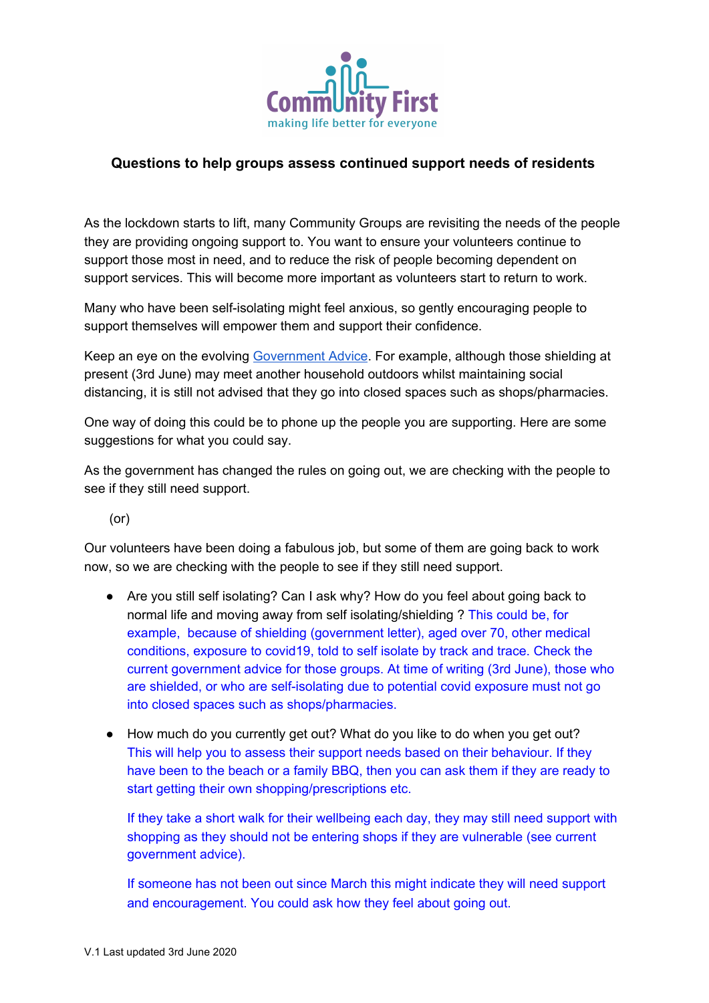

## **Questions to help groups assess continued support needs of residents**

As the lockdown starts to lift, many Community Groups are revisiting the needs of the people they are providing ongoing support to. You want to ensure your volunteers continue to support those most in need, and to reduce the risk of people becoming dependent on support services. This will become more important as volunteers start to return to work.

Many who have been self-isolating might feel anxious, so gently encouraging people to support themselves will empower them and support their confidence.

Keep an eye on the evolving [Government](https://www.gov.uk/coronavirus) Advice. For example, although those shielding at present (3rd June) may meet another household outdoors whilst maintaining social distancing, it is still not advised that they go into closed spaces such as shops/pharmacies.

One way of doing this could be to phone up the people you are supporting. Here are some suggestions for what you could say.

As the government has changed the rules on going out, we are checking with the people to see if they still need support.

(or)

Our volunteers have been doing a fabulous job, but some of them are going back to work now, so we are checking with the people to see if they still need support.

- Are you still self isolating? Can I ask why? How do you feel about going back to normal life and moving away from self isolating/shielding ? This could be, for example, because of shielding (government letter), aged over 70, other medical conditions, exposure to covid19, told to self isolate by track and trace. Check the current government advice for those groups. At time of writing (3rd June), those who are shielded, or who are self-isolating due to potential covid exposure must not go into closed spaces such as shops/pharmacies.
- How much do you currently get out? What do you like to do when you get out? This will help you to assess their support needs based on their behaviour. If they have been to the beach or a family BBQ, then you can ask them if they are ready to start getting their own shopping/prescriptions etc.

If they take a short walk for their wellbeing each day, they may still need support with shopping as they should not be entering shops if they are vulnerable (see current government advice).

If someone has not been out since March this might indicate they will need support and encouragement. You could ask how they feel about going out.